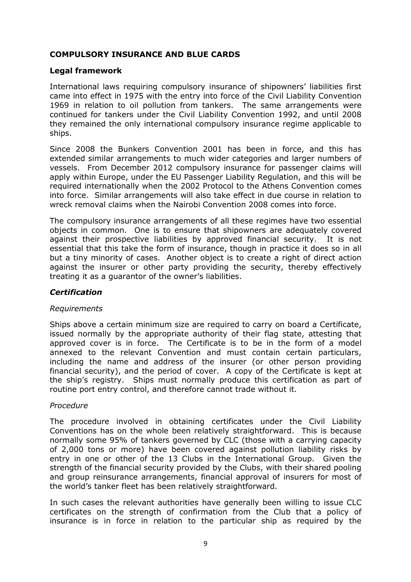# COMPULSORY INSURANCE AND BLUE CARDS

#### Legal framework

International laws requiring compulsory insurance of shipowners' liabilities first came into effect in 1975 with the entry into force of the Civil Liability Convention 1969 in relation to oil pollution from tankers. The same arrangements were continued for tankers under the Civil Liability Convention 1992, and until 2008 they remained the only international compulsory insurance regime applicable to ships.

Since 2008 the Bunkers Convention 2001 has been in force, and this has extended similar arrangements to much wider categories and larger numbers of vessels. From December 2012 compulsory insurance for passenger claims will apply within Europe, under the EU Passenger Liability Regulation, and this will be required internationally when the 2002 Protocol to the Athens Convention comes into force. Similar arrangements will also take effect in due course in relation to wreck removal claims when the Nairobi Convention 2008 comes into force.

The compulsory insurance arrangements of all these regimes have two essential objects in common. One is to ensure that shipowners are adequately covered against their prospective liabilities by approved financial security. It is not essential that this take the form of insurance, though in practice it does so in all but a tiny minority of cases. Another object is to create a right of direct action against the insurer or other party providing the security, thereby effectively treating it as a guarantor of the owner's liabilities.

## **Certification**

## Requirements

Ships above a certain minimum size are required to carry on board a Certificate, issued normally by the appropriate authority of their flag state, attesting that approved cover is in force. The Certificate is to be in the form of a model annexed to the relevant Convention and must contain certain particulars, including the name and address of the insurer (or other person providing financial security), and the period of cover. A copy of the Certificate is kept at the ship's registry. Ships must normally produce this certification as part of routine port entry control, and therefore cannot trade without it.

#### Procedure

The procedure involved in obtaining certificates under the Civil Liability Conventions has on the whole been relatively straightforward. This is because normally some 95% of tankers governed by CLC (those with a carrying capacity of 2,000 tons or more) have been covered against pollution liability risks by entry in one or other of the 13 Clubs in the International Group. Given the strength of the financial security provided by the Clubs, with their shared pooling and group reinsurance arrangements, financial approval of insurers for most of the world's tanker fleet has been relatively straightforward.

In such cases the relevant authorities have generally been willing to issue CLC certificates on the strength of confirmation from the Club that a policy of insurance is in force in relation to the particular ship as required by the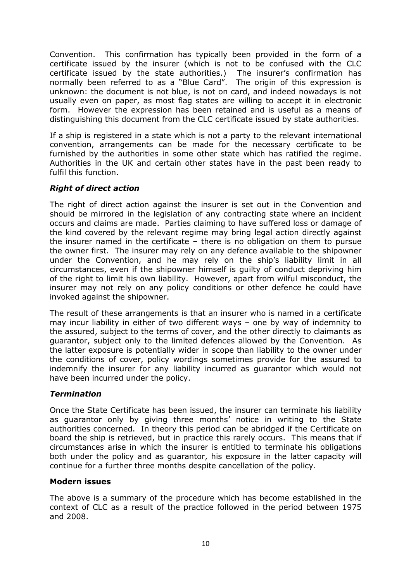Convention. This confirmation has typically been provided in the form of a certificate issued by the insurer (which is not to be confused with the CLC certificate issued by the state authorities.) The insurer's confirmation has normally been referred to as a "Blue Card". The origin of this expression is unknown: the document is not blue, is not on card, and indeed nowadays is not usually even on paper, as most flag states are willing to accept it in electronic form. However the expression has been retained and is useful as a means of distinguishing this document from the CLC certificate issued by state authorities.

If a ship is registered in a state which is not a party to the relevant international convention, arrangements can be made for the necessary certificate to be furnished by the authorities in some other state which has ratified the regime. Authorities in the UK and certain other states have in the past been ready to fulfil this function.

## Right of direct action

The right of direct action against the insurer is set out in the Convention and should be mirrored in the legislation of any contracting state where an incident occurs and claims are made. Parties claiming to have suffered loss or damage of the kind covered by the relevant regime may bring legal action directly against the insurer named in the certificate – there is no obligation on them to pursue the owner first. The insurer may rely on any defence available to the shipowner under the Convention, and he may rely on the ship's liability limit in all circumstances, even if the shipowner himself is guilty of conduct depriving him of the right to limit his own liability. However, apart from wilful misconduct, the insurer may not rely on any policy conditions or other defence he could have invoked against the shipowner.

The result of these arrangements is that an insurer who is named in a certificate may incur liability in either of two different ways – one by way of indemnity to the assured, subject to the terms of cover, and the other directly to claimants as guarantor, subject only to the limited defences allowed by the Convention. As the latter exposure is potentially wider in scope than liability to the owner under the conditions of cover, policy wordings sometimes provide for the assured to indemnify the insurer for any liability incurred as guarantor which would not have been incurred under the policy.

## **Termination**

Once the State Certificate has been issued, the insurer can terminate his liability as guarantor only by giving three months' notice in writing to the State authorities concerned. In theory this period can be abridged if the Certificate on board the ship is retrieved, but in practice this rarely occurs. This means that if circumstances arise in which the insurer is entitled to terminate his obligations both under the policy and as guarantor, his exposure in the latter capacity will continue for a further three months despite cancellation of the policy.

## Modern issues

The above is a summary of the procedure which has become established in the context of CLC as a result of the practice followed in the period between 1975 and 2008.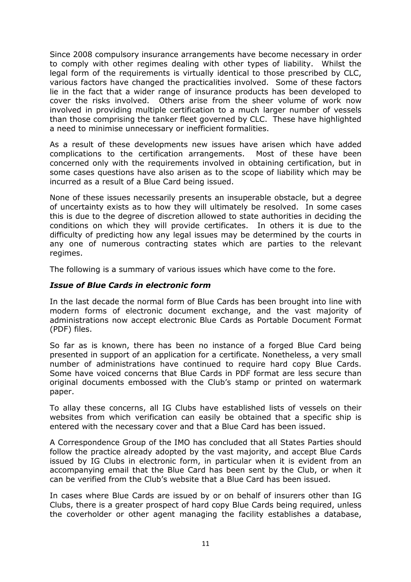Since 2008 compulsory insurance arrangements have become necessary in order to comply with other regimes dealing with other types of liability. Whilst the legal form of the requirements is virtually identical to those prescribed by CLC, various factors have changed the practicalities involved. Some of these factors lie in the fact that a wider range of insurance products has been developed to cover the risks involved. Others arise from the sheer volume of work now involved in providing multiple certification to a much larger number of vessels than those comprising the tanker fleet governed by CLC. These have highlighted a need to minimise unnecessary or inefficient formalities.

As a result of these developments new issues have arisen which have added complications to the certification arrangements. Most of these have been concerned only with the requirements involved in obtaining certification, but in some cases questions have also arisen as to the scope of liability which may be incurred as a result of a Blue Card being issued.

None of these issues necessarily presents an insuperable obstacle, but a degree of uncertainty exists as to how they will ultimately be resolved. In some cases this is due to the degree of discretion allowed to state authorities in deciding the conditions on which they will provide certificates. In others it is due to the difficulty of predicting how any legal issues may be determined by the courts in any one of numerous contracting states which are parties to the relevant regimes.

The following is a summary of various issues which have come to the fore.

## Issue of Blue Cards in electronic form

In the last decade the normal form of Blue Cards has been brought into line with modern forms of electronic document exchange, and the vast majority of administrations now accept electronic Blue Cards as Portable Document Format (PDF) files.

So far as is known, there has been no instance of a forged Blue Card being presented in support of an application for a certificate. Nonetheless, a very small number of administrations have continued to require hard copy Blue Cards. Some have voiced concerns that Blue Cards in PDF format are less secure than original documents embossed with the Club's stamp or printed on watermark paper.

To allay these concerns, all IG Clubs have established lists of vessels on their websites from which verification can easily be obtained that a specific ship is entered with the necessary cover and that a Blue Card has been issued.

A Correspondence Group of the IMO has concluded that all States Parties should follow the practice already adopted by the vast majority, and accept Blue Cards issued by IG Clubs in electronic form, in particular when it is evident from an accompanying email that the Blue Card has been sent by the Club, or when it can be verified from the Club's website that a Blue Card has been issued.

In cases where Blue Cards are issued by or on behalf of insurers other than IG Clubs, there is a greater prospect of hard copy Blue Cards being required, unless the coverholder or other agent managing the facility establishes a database,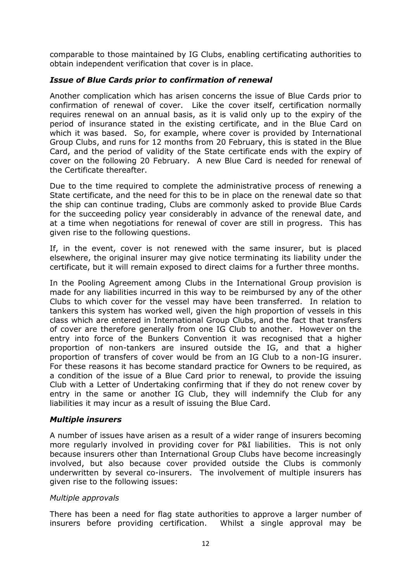comparable to those maintained by IG Clubs, enabling certificating authorities to obtain independent verification that cover is in place.

## Issue of Blue Cards prior to confirmation of renewal

Another complication which has arisen concerns the issue of Blue Cards prior to confirmation of renewal of cover. Like the cover itself, certification normally requires renewal on an annual basis, as it is valid only up to the expiry of the period of insurance stated in the existing certificate, and in the Blue Card on which it was based. So, for example, where cover is provided by International Group Clubs, and runs for 12 months from 20 February, this is stated in the Blue Card, and the period of validity of the State certificate ends with the expiry of cover on the following 20 February. A new Blue Card is needed for renewal of the Certificate thereafter.

Due to the time required to complete the administrative process of renewing a State certificate, and the need for this to be in place on the renewal date so that the ship can continue trading, Clubs are commonly asked to provide Blue Cards for the succeeding policy year considerably in advance of the renewal date, and at a time when negotiations for renewal of cover are still in progress. This has given rise to the following questions.

If, in the event, cover is not renewed with the same insurer, but is placed elsewhere, the original insurer may give notice terminating its liability under the certificate, but it will remain exposed to direct claims for a further three months.

In the Pooling Agreement among Clubs in the International Group provision is made for any liabilities incurred in this way to be reimbursed by any of the other Clubs to which cover for the vessel may have been transferred. In relation to tankers this system has worked well, given the high proportion of vessels in this class which are entered in International Group Clubs, and the fact that transfers of cover are therefore generally from one IG Club to another. However on the entry into force of the Bunkers Convention it was recognised that a higher proportion of non-tankers are insured outside the IG, and that a higher proportion of transfers of cover would be from an IG Club to a non-IG insurer. For these reasons it has become standard practice for Owners to be required, as a condition of the issue of a Blue Card prior to renewal, to provide the issuing Club with a Letter of Undertaking confirming that if they do not renew cover by entry in the same or another IG Club, they will indemnify the Club for any liabilities it may incur as a result of issuing the Blue Card.

#### Multiple insurers

A number of issues have arisen as a result of a wider range of insurers becoming more regularly involved in providing cover for P&I liabilities. This is not only because insurers other than International Group Clubs have become increasingly involved, but also because cover provided outside the Clubs is commonly underwritten by several co-insurers. The involvement of multiple insurers has given rise to the following issues:

## Multiple approvals

There has been a need for flag state authorities to approve a larger number of insurers before providing certification. Whilst a single approval may be